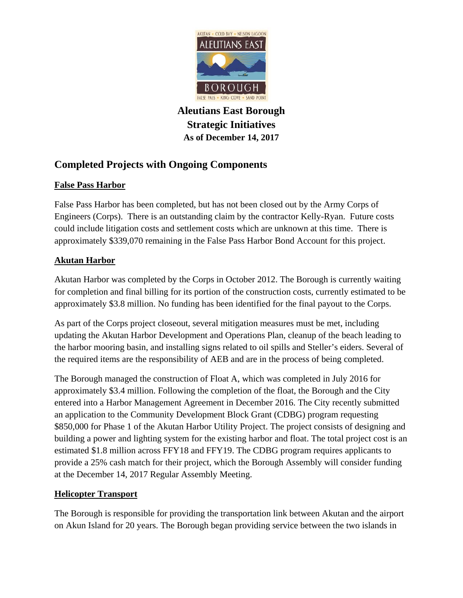

**Aleutians East Borough Strategic Initiatives As of December 14, 2017** 

# **Completed Projects with Ongoing Components**

# **False Pass Harbor**

False Pass Harbor has been completed, but has not been closed out by the Army Corps of Engineers (Corps). There is an outstanding claim by the contractor Kelly-Ryan. Future costs could include litigation costs and settlement costs which are unknown at this time. There is approximately \$339,070 remaining in the False Pass Harbor Bond Account for this project.

# **Akutan Harbor**

Akutan Harbor was completed by the Corps in October 2012. The Borough is currently waiting for completion and final billing for its portion of the construction costs, currently estimated to be approximately \$3.8 million. No funding has been identified for the final payout to the Corps.

As part of the Corps project closeout, several mitigation measures must be met, including updating the Akutan Harbor Development and Operations Plan, cleanup of the beach leading to the harbor mooring basin, and installing signs related to oil spills and Steller's eiders. Several of the required items are the responsibility of AEB and are in the process of being completed.

The Borough managed the construction of Float A, which was completed in July 2016 for approximately \$3.4 million. Following the completion of the float, the Borough and the City entered into a Harbor Management Agreement in December 2016. The City recently submitted an application to the Community Development Block Grant (CDBG) program requesting \$850,000 for Phase 1 of the Akutan Harbor Utility Project. The project consists of designing and building a power and lighting system for the existing harbor and float. The total project cost is an estimated \$1.8 million across FFY18 and FFY19. The CDBG program requires applicants to provide a 25% cash match for their project, which the Borough Assembly will consider funding at the December 14, 2017 Regular Assembly Meeting.

# **Helicopter Transport**

The Borough is responsible for providing the transportation link between Akutan and the airport on Akun Island for 20 years. The Borough began providing service between the two islands in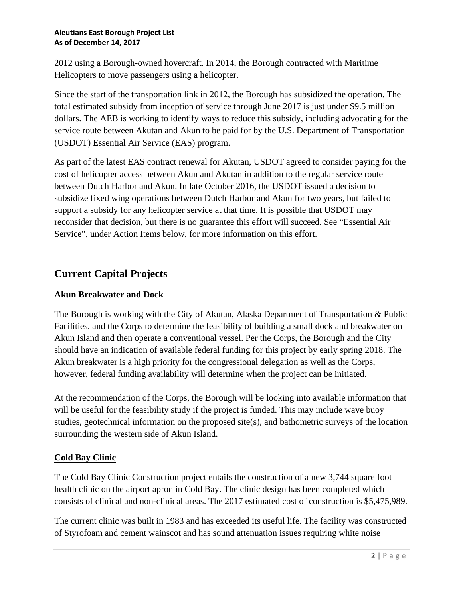2012 using a Borough-owned hovercraft. In 2014, the Borough contracted with Maritime Helicopters to move passengers using a helicopter.

Since the start of the transportation link in 2012, the Borough has subsidized the operation. The total estimated subsidy from inception of service through June 2017 is just under \$9.5 million dollars. The AEB is working to identify ways to reduce this subsidy, including advocating for the service route between Akutan and Akun to be paid for by the U.S. Department of Transportation (USDOT) Essential Air Service (EAS) program.

As part of the latest EAS contract renewal for Akutan, USDOT agreed to consider paying for the cost of helicopter access between Akun and Akutan in addition to the regular service route between Dutch Harbor and Akun. In late October 2016, the USDOT issued a decision to subsidize fixed wing operations between Dutch Harbor and Akun for two years, but failed to support a subsidy for any helicopter service at that time. It is possible that USDOT may reconsider that decision, but there is no guarantee this effort will succeed. See "Essential Air Service", under Action Items below, for more information on this effort.

# **Current Capital Projects**

# **Akun Breakwater and Dock**

The Borough is working with the City of Akutan, Alaska Department of Transportation & Public Facilities, and the Corps to determine the feasibility of building a small dock and breakwater on Akun Island and then operate a conventional vessel. Per the Corps, the Borough and the City should have an indication of available federal funding for this project by early spring 2018. The Akun breakwater is a high priority for the congressional delegation as well as the Corps, however, federal funding availability will determine when the project can be initiated.

At the recommendation of the Corps, the Borough will be looking into available information that will be useful for the feasibility study if the project is funded. This may include wave buoy studies, geotechnical information on the proposed site(s), and bathometric surveys of the location surrounding the western side of Akun Island.

# **Cold Bay Clinic**

The Cold Bay Clinic Construction project entails the construction of a new 3,744 square foot health clinic on the airport apron in Cold Bay. The clinic design has been completed which consists of clinical and non-clinical areas. The 2017 estimated cost of construction is \$5,475,989.

The current clinic was built in 1983 and has exceeded its useful life. The facility was constructed of Styrofoam and cement wainscot and has sound attenuation issues requiring white noise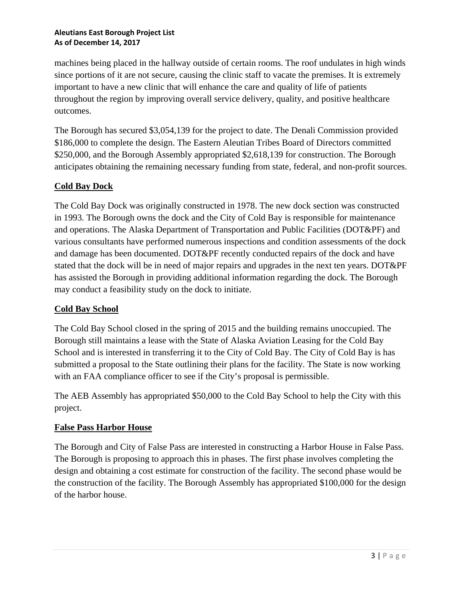machines being placed in the hallway outside of certain rooms. The roof undulates in high winds since portions of it are not secure, causing the clinic staff to vacate the premises. It is extremely important to have a new clinic that will enhance the care and quality of life of patients throughout the region by improving overall service delivery, quality, and positive healthcare outcomes.

The Borough has secured \$3,054,139 for the project to date. The Denali Commission provided \$186,000 to complete the design. The Eastern Aleutian Tribes Board of Directors committed \$250,000, and the Borough Assembly appropriated \$2,618,139 for construction. The Borough anticipates obtaining the remaining necessary funding from state, federal, and non-profit sources.

# **Cold Bay Dock**

The Cold Bay Dock was originally constructed in 1978. The new dock section was constructed in 1993. The Borough owns the dock and the City of Cold Bay is responsible for maintenance and operations. The Alaska Department of Transportation and Public Facilities (DOT&PF) and various consultants have performed numerous inspections and condition assessments of the dock and damage has been documented. DOT&PF recently conducted repairs of the dock and have stated that the dock will be in need of major repairs and upgrades in the next ten years. DOT&PF has assisted the Borough in providing additional information regarding the dock. The Borough may conduct a feasibility study on the dock to initiate.

### **Cold Bay School**

The Cold Bay School closed in the spring of 2015 and the building remains unoccupied. The Borough still maintains a lease with the State of Alaska Aviation Leasing for the Cold Bay School and is interested in transferring it to the City of Cold Bay. The City of Cold Bay is has submitted a proposal to the State outlining their plans for the facility. The State is now working with an FAA compliance officer to see if the City's proposal is permissible.

The AEB Assembly has appropriated \$50,000 to the Cold Bay School to help the City with this project.

### **False Pass Harbor House**

The Borough and City of False Pass are interested in constructing a Harbor House in False Pass. The Borough is proposing to approach this in phases. The first phase involves completing the design and obtaining a cost estimate for construction of the facility. The second phase would be the construction of the facility. The Borough Assembly has appropriated \$100,000 for the design of the harbor house.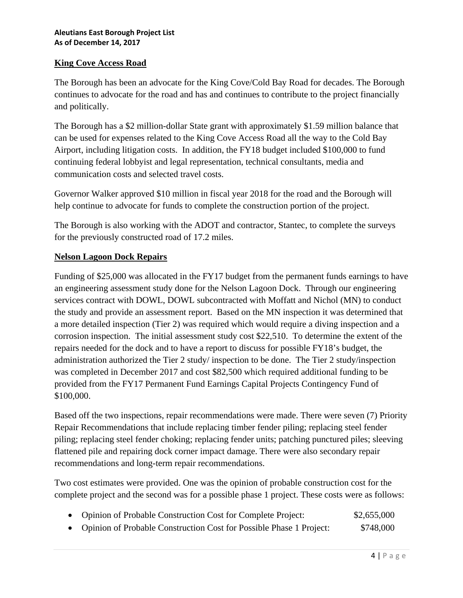### **King Cove Access Road**

The Borough has been an advocate for the King Cove/Cold Bay Road for decades. The Borough continues to advocate for the road and has and continues to contribute to the project financially and politically.

The Borough has a \$2 million-dollar State grant with approximately \$1.59 million balance that can be used for expenses related to the King Cove Access Road all the way to the Cold Bay Airport, including litigation costs. In addition, the FY18 budget included \$100,000 to fund continuing federal lobbyist and legal representation, technical consultants, media and communication costs and selected travel costs.

Governor Walker approved \$10 million in fiscal year 2018 for the road and the Borough will help continue to advocate for funds to complete the construction portion of the project.

The Borough is also working with the ADOT and contractor, Stantec, to complete the surveys for the previously constructed road of 17.2 miles.

#### **Nelson Lagoon Dock Repairs**

Funding of \$25,000 was allocated in the FY17 budget from the permanent funds earnings to have an engineering assessment study done for the Nelson Lagoon Dock. Through our engineering services contract with DOWL, DOWL subcontracted with Moffatt and Nichol (MN) to conduct the study and provide an assessment report. Based on the MN inspection it was determined that a more detailed inspection (Tier 2) was required which would require a diving inspection and a corrosion inspection. The initial assessment study cost \$22,510. To determine the extent of the repairs needed for the dock and to have a report to discuss for possible FY18's budget, the administration authorized the Tier 2 study/ inspection to be done. The Tier 2 study/inspection was completed in December 2017 and cost \$82,500 which required additional funding to be provided from the FY17 Permanent Fund Earnings Capital Projects Contingency Fund of \$100,000.

Based off the two inspections, repair recommendations were made. There were seven (7) Priority Repair Recommendations that include replacing timber fender piling; replacing steel fender piling; replacing steel fender choking; replacing fender units; patching punctured piles; sleeving flattened pile and repairing dock corner impact damage. There were also secondary repair recommendations and long-term repair recommendations.

Two cost estimates were provided. One was the opinion of probable construction cost for the complete project and the second was for a possible phase 1 project. These costs were as follows:

- Opinion of Probable Construction Cost for Complete Project: \$2,655,000
- Opinion of Probable Construction Cost for Possible Phase 1 Project:  $$748,000$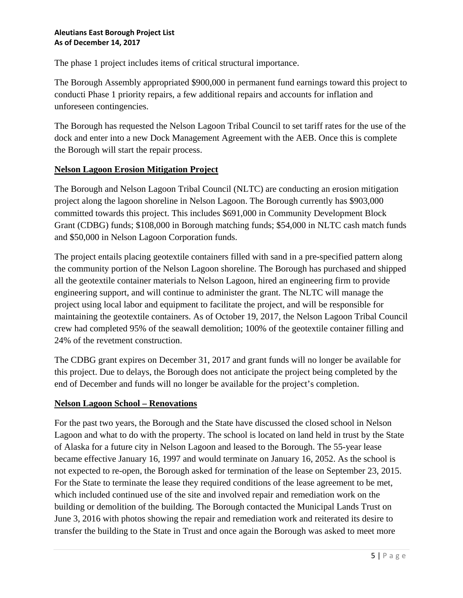The phase 1 project includes items of critical structural importance.

The Borough Assembly appropriated \$900,000 in permanent fund earnings toward this project to conducti Phase 1 priority repairs, a few additional repairs and accounts for inflation and unforeseen contingencies.

The Borough has requested the Nelson Lagoon Tribal Council to set tariff rates for the use of the dock and enter into a new Dock Management Agreement with the AEB. Once this is complete the Borough will start the repair process.

### **Nelson Lagoon Erosion Mitigation Project**

The Borough and Nelson Lagoon Tribal Council (NLTC) are conducting an erosion mitigation project along the lagoon shoreline in Nelson Lagoon. The Borough currently has \$903,000 committed towards this project. This includes \$691,000 in Community Development Block Grant (CDBG) funds; \$108,000 in Borough matching funds; \$54,000 in NLTC cash match funds and \$50,000 in Nelson Lagoon Corporation funds.

The project entails placing geotextile containers filled with sand in a pre-specified pattern along the community portion of the Nelson Lagoon shoreline. The Borough has purchased and shipped all the geotextile container materials to Nelson Lagoon, hired an engineering firm to provide engineering support, and will continue to administer the grant. The NLTC will manage the project using local labor and equipment to facilitate the project, and will be responsible for maintaining the geotextile containers. As of October 19, 2017, the Nelson Lagoon Tribal Council crew had completed 95% of the seawall demolition; 100% of the geotextile container filling and 24% of the revetment construction.

The CDBG grant expires on December 31, 2017 and grant funds will no longer be available for this project. Due to delays, the Borough does not anticipate the project being completed by the end of December and funds will no longer be available for the project's completion.

### **Nelson Lagoon School – Renovations**

For the past two years, the Borough and the State have discussed the closed school in Nelson Lagoon and what to do with the property. The school is located on land held in trust by the State of Alaska for a future city in Nelson Lagoon and leased to the Borough. The 55-year lease became effective January 16, 1997 and would terminate on January 16, 2052. As the school is not expected to re-open, the Borough asked for termination of the lease on September 23, 2015. For the State to terminate the lease they required conditions of the lease agreement to be met, which included continued use of the site and involved repair and remediation work on the building or demolition of the building. The Borough contacted the Municipal Lands Trust on June 3, 2016 with photos showing the repair and remediation work and reiterated its desire to transfer the building to the State in Trust and once again the Borough was asked to meet more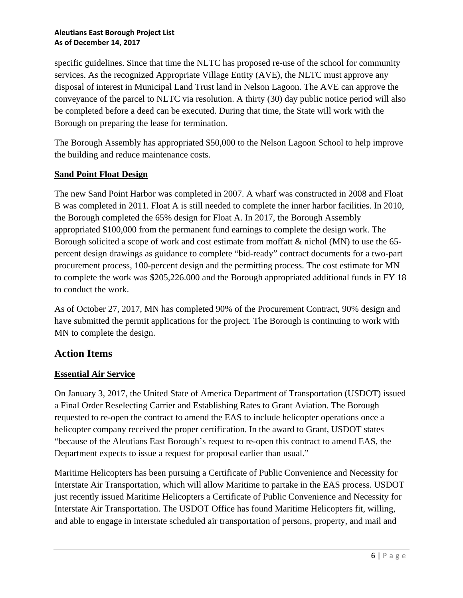specific guidelines. Since that time the NLTC has proposed re-use of the school for community services. As the recognized Appropriate Village Entity (AVE), the NLTC must approve any disposal of interest in Municipal Land Trust land in Nelson Lagoon. The AVE can approve the conveyance of the parcel to NLTC via resolution. A thirty (30) day public notice period will also be completed before a deed can be executed. During that time, the State will work with the Borough on preparing the lease for termination.

The Borough Assembly has appropriated \$50,000 to the Nelson Lagoon School to help improve the building and reduce maintenance costs.

### **Sand Point Float Design**

The new Sand Point Harbor was completed in 2007. A wharf was constructed in 2008 and Float B was completed in 2011. Float A is still needed to complete the inner harbor facilities. In 2010, the Borough completed the 65% design for Float A. In 2017, the Borough Assembly appropriated \$100,000 from the permanent fund earnings to complete the design work. The Borough solicited a scope of work and cost estimate from moffatt & nichol (MN) to use the 65 percent design drawings as guidance to complete "bid-ready" contract documents for a two-part procurement process, 100-percent design and the permitting process. The cost estimate for MN to complete the work was \$205,226.000 and the Borough appropriated additional funds in FY 18 to conduct the work.

As of October 27, 2017, MN has completed 90% of the Procurement Contract, 90% design and have submitted the permit applications for the project. The Borough is continuing to work with MN to complete the design.

# **Action Items**

### **Essential Air Service**

On January 3, 2017, the United State of America Department of Transportation (USDOT) issued a Final Order Reselecting Carrier and Establishing Rates to Grant Aviation. The Borough requested to re-open the contract to amend the EAS to include helicopter operations once a helicopter company received the proper certification. In the award to Grant, USDOT states "because of the Aleutians East Borough's request to re-open this contract to amend EAS, the Department expects to issue a request for proposal earlier than usual."

Maritime Helicopters has been pursuing a Certificate of Public Convenience and Necessity for Interstate Air Transportation, which will allow Maritime to partake in the EAS process. USDOT just recently issued Maritime Helicopters a Certificate of Public Convenience and Necessity for Interstate Air Transportation. The USDOT Office has found Maritime Helicopters fit, willing, and able to engage in interstate scheduled air transportation of persons, property, and mail and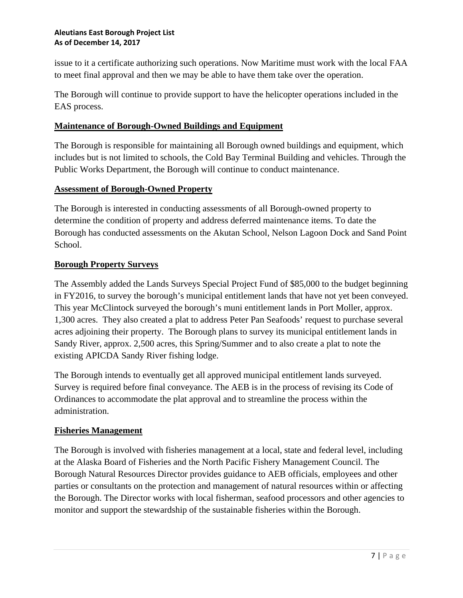issue to it a certificate authorizing such operations. Now Maritime must work with the local FAA to meet final approval and then we may be able to have them take over the operation.

The Borough will continue to provide support to have the helicopter operations included in the EAS process.

### **Maintenance of Borough-Owned Buildings and Equipment**

The Borough is responsible for maintaining all Borough owned buildings and equipment, which includes but is not limited to schools, the Cold Bay Terminal Building and vehicles. Through the Public Works Department, the Borough will continue to conduct maintenance.

### **Assessment of Borough-Owned Property**

The Borough is interested in conducting assessments of all Borough-owned property to determine the condition of property and address deferred maintenance items. To date the Borough has conducted assessments on the Akutan School, Nelson Lagoon Dock and Sand Point School.

### **Borough Property Surveys**

The Assembly added the Lands Surveys Special Project Fund of \$85,000 to the budget beginning in FY2016, to survey the borough's municipal entitlement lands that have not yet been conveyed. This year McClintock surveyed the borough's muni entitlement lands in Port Moller, approx. 1,300 acres. They also created a plat to address Peter Pan Seafoods' request to purchase several acres adjoining their property. The Borough plans to survey its municipal entitlement lands in Sandy River, approx. 2,500 acres, this Spring/Summer and to also create a plat to note the existing APICDA Sandy River fishing lodge.

The Borough intends to eventually get all approved municipal entitlement lands surveyed. Survey is required before final conveyance. The AEB is in the process of revising its Code of Ordinances to accommodate the plat approval and to streamline the process within the administration.

### **Fisheries Management**

The Borough is involved with fisheries management at a local, state and federal level, including at the Alaska Board of Fisheries and the North Pacific Fishery Management Council. The Borough Natural Resources Director provides guidance to AEB officials, employees and other parties or consultants on the protection and management of natural resources within or affecting the Borough. The Director works with local fisherman, seafood processors and other agencies to monitor and support the stewardship of the sustainable fisheries within the Borough.